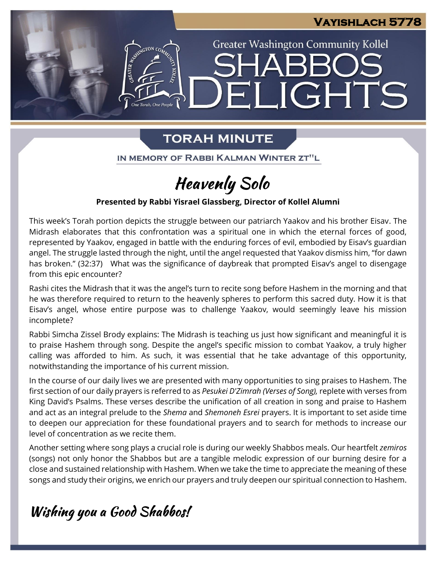### **Vayishlach 5778**

**Greater Washington Community Kollel** 

ELIGHTS

# **TORAH MINUTE**

n<br>e Torah. One People

IN MEMORY OF RABBI KALMAN WINTER ZT"L

# **Heavenly Solo**

### **Presented by Rabbi Yisrael Glassberg, Director of Kollel Alumni**

This week's Torah portion depicts the struggle between our patriarch Yaakov and his brother Eisav. The Midrash elaborates that this confrontation was a spiritual one in which the eternal forces of good, represented by Yaakov, engaged in battle with the enduring forces of evil, embodied by Eisav's guardian angel. The struggle lasted through the night, until the angel requested that Yaakov dismiss him, "for dawn has broken." (32:37) What was the significance of daybreak that prompted Eisav's angel to disengage from this epic encounter?

Rashi cites the Midrash that it was the angel's turn to recite song before Hashem in the morning and that he was therefore required to return to the heavenly spheres to perform this sacred duty. How it is that Eisav's angel, whose entire purpose was to challenge Yaakov, would seemingly leave his mission incomplete?

Rabbi Simcha Zissel Brody explains: The Midrash is teaching us just how significant and meaningful it is to praise Hashem through song. Despite the angel's specific mission to combat Yaakov, a truly higher calling was afforded to him. As such, it was essential that he take advantage of this opportunity, notwithstanding the importance of his current mission.

In the course of our daily lives we are presented with many opportunities to sing praises to Hashem. The first section of our daily prayers is referred to as *Pesukei D'Zimrah (Verses of Song),* replete with verses from King David's Psalms. These verses describe the unification of all creation in song and praise to Hashem and act as an integral prelude to the *Shema* and *Shemoneh Esrei* prayers. It is important to set aside time to deepen our appreciation for these foundational prayers and to search for methods to increase our level of concentration as we recite them.

Another setting where song plays a crucial role is during our weekly Shabbos meals. Our heartfelt *zemiros*  (songs) not only honor the Shabbos but are a tangible melodic expression of our burning desire for a close and sustained relationship with Hashem. When we take the time to appreciate the meaning of these songs and study their origins, we enrich our prayers and truly deepen our spiritual connection to Hashem.

# Wishing you a Good Shabbos!